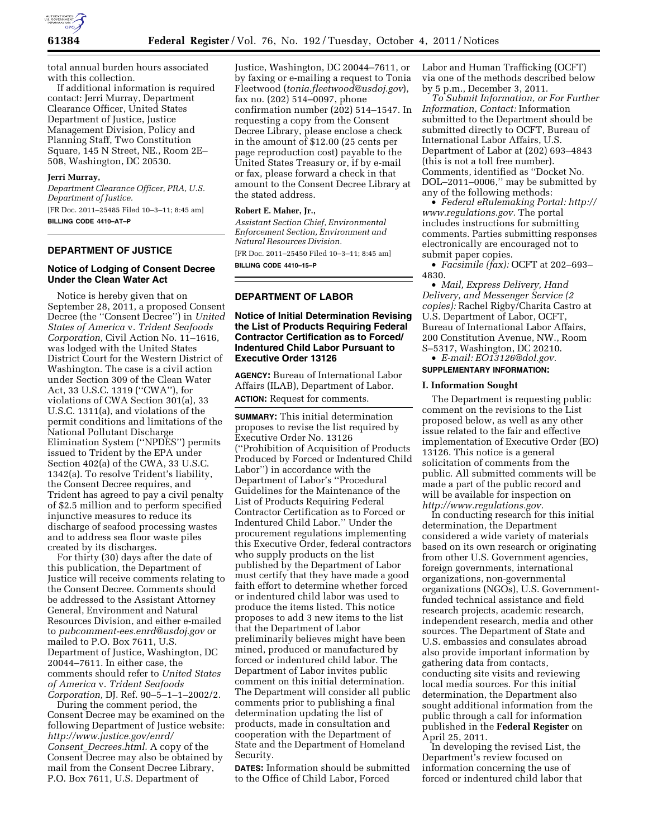

total annual burden hours associated with this collection.

If additional information is required contact: Jerri Murray, Department Clearance Officer, United States Department of Justice, Justice Management Division, Policy and Planning Staff, Two Constitution Square, 145 N Street, NE., Room 2E– 508, Washington, DC 20530.

#### **Jerri Murray,**

*Department Clearance Officer, PRA, U.S. Department of Justice.*  [FR Doc. 2011–25485 Filed 10–3–11; 8:45 am]

**BILLING CODE 4410–AT–P** 

### **DEPARTMENT OF JUSTICE**

### **Notice of Lodging of Consent Decree Under the Clean Water Act**

Notice is hereby given that on September 28, 2011, a proposed Consent Decree (the ''Consent Decree'') in *United States of America* v. *Trident Seafoods Corporation,* Civil Action No. 11–1616, was lodged with the United States District Court for the Western District of Washington. The case is a civil action under Section 309 of the Clean Water Act, 33 U.S.C. 1319 (''CWA''), for violations of CWA Section 301(a), 33 U.S.C. 1311(a), and violations of the permit conditions and limitations of the National Pollutant Discharge Elimination System (''NPDES'') permits issued to Trident by the EPA under Section 402(a) of the CWA, 33 U.S.C. 1342(a). To resolve Trident's liability, the Consent Decree requires, and Trident has agreed to pay a civil penalty of \$2.5 million and to perform specified injunctive measures to reduce its discharge of seafood processing wastes and to address sea floor waste piles created by its discharges.

For thirty (30) days after the date of this publication, the Department of Justice will receive comments relating to the Consent Decree. Comments should be addressed to the Assistant Attorney General, Environment and Natural Resources Division, and either e-mailed to *[pubcomment-ees.enrd@usdoj.gov](mailto:pubcomment-ees.enrd@usdoj.gov)* or mailed to P.O. Box 7611, U.S. Department of Justice, Washington, DC 20044–7611. In either case, the comments should refer to *United States of America* v. *Trident Seafoods Corporation,* DJ. Ref. 90–5–1–1–2002/2.

During the comment period, the Consent Decree may be examined on the following Department of Justice website: *[http://www.justice.gov/enrd/](http://www.justice.gov/enrd/Consent_Decrees.html) Consent*\_*[Decrees.html.](http://www.justice.gov/enrd/Consent_Decrees.html)* A copy of the Consent Decree may also be obtained by mail from the Consent Decree Library, P.O. Box 7611, U.S. Department of

Justice, Washington, DC 20044–7611, or by faxing or e-mailing a request to Tonia Fleetwood (*[tonia.fleetwood@usdoj.gov](mailto:tonia.fleetwood@usdoj.gov)*), fax no. (202) 514–0097, phone confirmation number (202) 514–1547. In requesting a copy from the Consent Decree Library, please enclose a check in the amount of \$12.00 (25 cents per page reproduction cost) payable to the United States Treasury or, if by e-mail or fax, please forward a check in that amount to the Consent Decree Library at the stated address.

### **Robert E. Maher, Jr.,**

*Assistant Section Chief, Environmental Enforcement Section, Environment and Natural Resources Division.* 

[FR Doc. 2011–25450 Filed 10–3–11; 8:45 am] **BILLING CODE 4410–15–P** 

# **DEPARTMENT OF LABOR**

### **Notice of Initial Determination Revising the List of Products Requiring Federal Contractor Certification as to Forced/ Indentured Child Labor Pursuant to Executive Order 13126**

**AGENCY:** Bureau of International Labor Affairs (ILAB), Department of Labor. **ACTION:** Request for comments.

**SUMMARY:** This initial determination proposes to revise the list required by Executive Order No. 13126 (''Prohibition of Acquisition of Products Produced by Forced or Indentured Child Labor'') in accordance with the Department of Labor's ''Procedural Guidelines for the Maintenance of the List of Products Requiring Federal Contractor Certification as to Forced or Indentured Child Labor.'' Under the procurement regulations implementing this Executive Order, federal contractors who supply products on the list published by the Department of Labor must certify that they have made a good faith effort to determine whether forced or indentured child labor was used to produce the items listed. This notice proposes to add 3 new items to the list that the Department of Labor preliminarily believes might have been mined, produced or manufactured by forced or indentured child labor. The Department of Labor invites public comment on this initial determination. The Department will consider all public comments prior to publishing a final determination updating the list of products, made in consultation and cooperation with the Department of State and the Department of Homeland Security.

**DATES:** Information should be submitted to the Office of Child Labor, Forced

Labor and Human Trafficking (OCFT) via one of the methods described below by 5 p.m., December 3, 2011.

*To Submit Information, or For Further Information, Contact:* Information submitted to the Department should be submitted directly to OCFT, Bureau of International Labor Affairs, U.S. Department of Labor at (202) 693–4843 (this is not a toll free number). Comments, identified as ''Docket No. DOL–2011–0006,'' may be submitted by any of the following methods:

• *Federal eRulemaking Portal: [http://](http://www.regulations.gov)  [www.regulations.gov.](http://www.regulations.gov)* The portal includes instructions for submitting comments. Parties submitting responses electronically are encouraged not to submit paper copies.

• *Facsimile (fax):* OCFT at 202–693– 4830.

• *Mail, Express Delivery, Hand Delivery, and Messenger Service (2 copies):* Rachel Rigby/Charita Castro at U.S. Department of Labor, OCFT, Bureau of International Labor Affairs, 200 Constitution Avenue, NW., Room S–5317, Washington, DC 20210.

• *E-mail: [EO13126@dol.gov.](mailto:EO13126@dol.gov)* 

# **SUPPLEMENTARY INFORMATION:**

### **I. Information Sought**

The Department is requesting public comment on the revisions to the List proposed below, as well as any other issue related to the fair and effective implementation of Executive Order (EO) 13126. This notice is a general solicitation of comments from the public. All submitted comments will be made a part of the public record and will be available for inspection on *[http://www.regulations.gov.](http://www.regulations.gov)* 

In conducting research for this initial determination, the Department considered a wide variety of materials based on its own research or originating from other U.S. Government agencies, foreign governments, international organizations, non-governmental organizations (NGOs), U.S. Governmentfunded technical assistance and field research projects, academic research, independent research, media and other sources. The Department of State and U.S. embassies and consulates abroad also provide important information by gathering data from contacts, conducting site visits and reviewing local media sources. For this initial determination, the Department also sought additional information from the public through a call for information published in the **Federal Register** on April 25, 2011.

In developing the revised List, the Department's review focused on information concerning the use of forced or indentured child labor that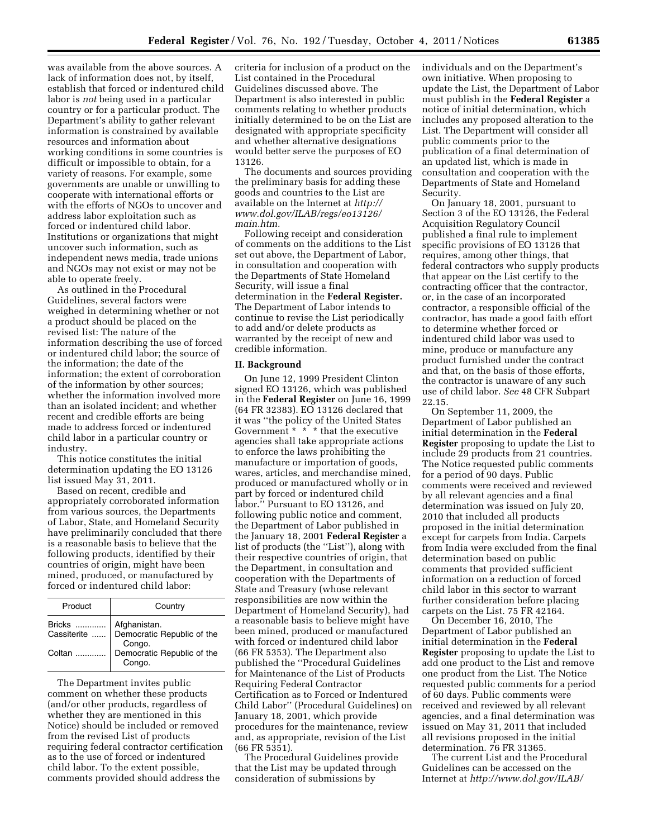was available from the above sources. A lack of information does not, by itself, establish that forced or indentured child labor is *not* being used in a particular country or for a particular product. The Department's ability to gather relevant information is constrained by available resources and information about working conditions in some countries is difficult or impossible to obtain, for a variety of reasons. For example, some governments are unable or unwilling to cooperate with international efforts or with the efforts of NGOs to uncover and address labor exploitation such as forced or indentured child labor. Institutions or organizations that might uncover such information, such as independent news media, trade unions and NGOs may not exist or may not be able to operate freely.

As outlined in the Procedural Guidelines, several factors were weighed in determining whether or not a product should be placed on the revised list: The nature of the information describing the use of forced or indentured child labor; the source of the information; the date of the information; the extent of corroboration of the information by other sources; whether the information involved more than an isolated incident; and whether recent and credible efforts are being made to address forced or indentured child labor in a particular country or industry.

This notice constitutes the initial determination updating the EO 13126 list issued May 31, 2011.

Based on recent, credible and appropriately corroborated information from various sources, the Departments of Labor, State, and Homeland Security have preliminarily concluded that there is a reasonable basis to believe that the following products, identified by their countries of origin, might have been mined, produced, or manufactured by forced or indentured child labor:

| Product       | Country                                                             |
|---------------|---------------------------------------------------------------------|
| <b>Bricks</b> | Afghanistan.<br>Cassiterite    Democratic Republic of the<br>Congo. |
| Coltan<br>.   | Democratic Republic of the<br>Congo.                                |

The Department invites public comment on whether these products (and/or other products, regardless of whether they are mentioned in this Notice) should be included or removed from the revised List of products requiring federal contractor certification as to the use of forced or indentured child labor. To the extent possible, comments provided should address the

criteria for inclusion of a product on the List contained in the Procedural Guidelines discussed above. The Department is also interested in public comments relating to whether products initially determined to be on the List are designated with appropriate specificity and whether alternative designations would better serve the purposes of EO 13126.

The documents and sources providing the preliminary basis for adding these goods and countries to the List are available on the Internet at *[http://](http://www.dol.gov/ILAB/regs/eo13126/main.htm) [www.dol.gov/ILAB/regs/eo13126/](http://www.dol.gov/ILAB/regs/eo13126/main.htm)  [main.htm.](http://www.dol.gov/ILAB/regs/eo13126/main.htm)* 

Following receipt and consideration of comments on the additions to the List set out above, the Department of Labor, in consultation and cooperation with the Departments of State Homeland Security, will issue a final determination in the **Federal Register.**  The Department of Labor intends to continue to revise the List periodically to add and/or delete products as warranted by the receipt of new and credible information.

#### **II. Background**

On June 12, 1999 President Clinton signed EO 13126, which was published in the **Federal Register** on June 16, 1999 (64 FR 32383). EO 13126 declared that it was ''the policy of the United States Government \* \* \* that the executive agencies shall take appropriate actions to enforce the laws prohibiting the manufacture or importation of goods, wares, articles, and merchandise mined, produced or manufactured wholly or in part by forced or indentured child labor.'' Pursuant to EO 13126, and following public notice and comment, the Department of Labor published in the January 18, 2001 **Federal Register** a list of products (the ''List''), along with their respective countries of origin, that the Department, in consultation and cooperation with the Departments of State and Treasury (whose relevant responsibilities are now within the Department of Homeland Security), had a reasonable basis to believe might have been mined, produced or manufactured with forced or indentured child labor (66 FR 5353). The Department also published the ''Procedural Guidelines for Maintenance of the List of Products Requiring Federal Contractor Certification as to Forced or Indentured Child Labor'' (Procedural Guidelines) on January 18, 2001, which provide procedures for the maintenance, review and, as appropriate, revision of the List (66 FR 5351).

The Procedural Guidelines provide that the List may be updated through consideration of submissions by

individuals and on the Department's own initiative. When proposing to update the List, the Department of Labor must publish in the **Federal Register** a notice of initial determination, which includes any proposed alteration to the List. The Department will consider all public comments prior to the publication of a final determination of an updated list, which is made in consultation and cooperation with the Departments of State and Homeland Security.

On January 18, 2001, pursuant to Section 3 of the EO 13126, the Federal Acquisition Regulatory Council published a final rule to implement specific provisions of EO 13126 that requires, among other things, that federal contractors who supply products that appear on the List certify to the contracting officer that the contractor, or, in the case of an incorporated contractor, a responsible official of the contractor, has made a good faith effort to determine whether forced or indentured child labor was used to mine, produce or manufacture any product furnished under the contract and that, on the basis of those efforts, the contractor is unaware of any such use of child labor. *See* 48 CFR Subpart 22.15.

On September 11, 2009, the Department of Labor published an initial determination in the **Federal Register** proposing to update the List to include 29 products from 21 countries. The Notice requested public comments for a period of 90 days. Public comments were received and reviewed by all relevant agencies and a final determination was issued on July 20, 2010 that included all products proposed in the initial determination except for carpets from India. Carpets from India were excluded from the final determination based on public comments that provided sufficient information on a reduction of forced child labor in this sector to warrant further consideration before placing carpets on the List. 75 FR 42164.

On December 16, 2010, The Department of Labor published an initial determination in the **Federal Register** proposing to update the List to add one product to the List and remove one product from the List. The Notice requested public comments for a period of 60 days. Public comments were received and reviewed by all relevant agencies, and a final determination was issued on May 31, 2011 that included all revisions proposed in the initial determination. 76 FR 31365.

The current List and the Procedural Guidelines can be accessed on the Internet at *<http://www.dol.gov/ILAB/>*